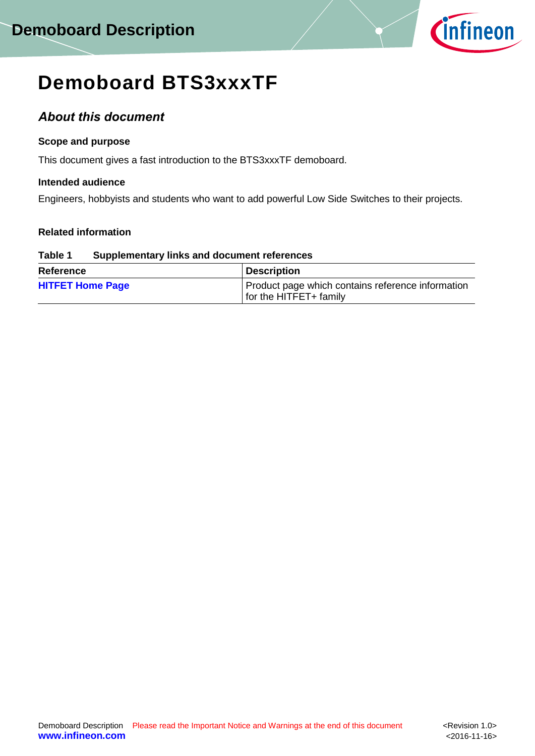

# **Demoboard BTS3xxxTF**

# *About this document*

# **Scope and purpose**

This document gives a fast introduction to the BTS3xxxTF demoboard.

# **Intended audience**

Engineers, hobbyists and students who want to add powerful Low Side Switches to their projects.

# **Related information**

### **Table 1 Supplementary links and document references**

| <b>Reference</b>        | <b>Description</b>                                                          |
|-------------------------|-----------------------------------------------------------------------------|
| <b>HITFET Home Page</b> | Product page which contains reference information<br>for the HITFET+ family |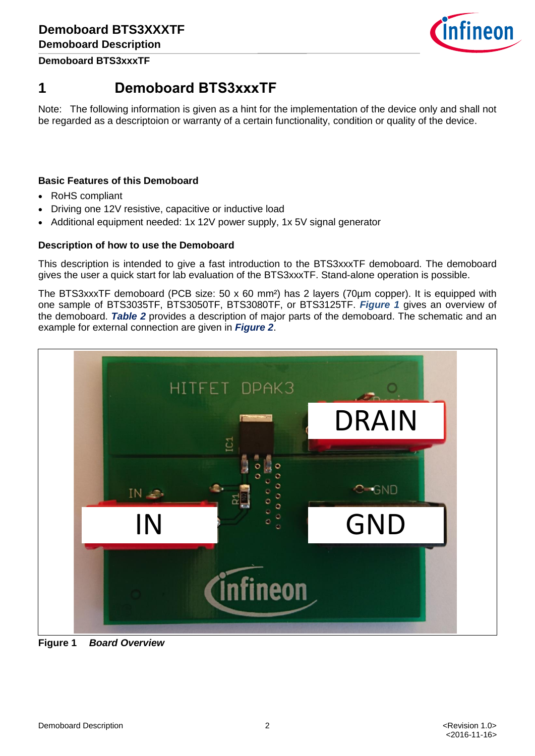

**Demoboard BTS3xxxTF**

# **1 Demoboard BTS3xxxTF**

Note: The following information is given as a hint for the implementation of the device only and shall not be regarded as a descriptoion or warranty of a certain functionality, condition or quality of the device.

# **Basic Features of this Demoboard**

- RoHS compliant
- Driving one 12V resistive, capacitive or inductive load
- Additional equipment needed: 1x 12V power supply, 1x 5V signal generator

### **Description of how to use the Demoboard**

This description is intended to give a fast introduction to the BTS3xxxTF demoboard. The demoboard gives the user a quick start for lab evaluation of the BTS3xxxTF. Stand-alone operation is possible.

The BTS3xxxTF demoboard (PCB size: 50 x 60 mm²) has 2 layers (70µm copper). It is equipped with one sample of BTS3035TF, BTS3050TF, BTS3080TF, or BTS3125TF. *[Figure 1](#page-1-0)* gives an overview of the demoboard. *[Table 2](#page-2-0)* provides a description of major parts of the demoboard. The schematic and an example for external connection are given in *[Figure 2](#page-2-1)*.

<span id="page-1-0"></span>

**Figure 1** *Board Overview*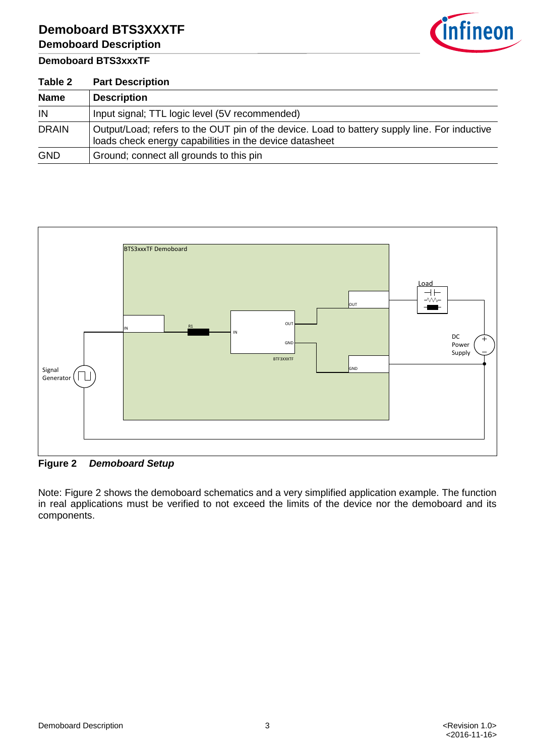# **Demoboard BTS3XXXTF Demoboard Description**

# **Demoboard BTS3xxxTF**



<span id="page-2-0"></span>

| Table 2      | <b>Part Description</b>                                                                                                                                 |  |
|--------------|---------------------------------------------------------------------------------------------------------------------------------------------------------|--|
| <b>Name</b>  | <b>Description</b>                                                                                                                                      |  |
| IN           | Input signal; TTL logic level (5V recommended)                                                                                                          |  |
| <b>DRAIN</b> | Output/Load; refers to the OUT pin of the device. Load to battery supply line. For inductive<br>loads check energy capabilities in the device datasheet |  |
| <b>GND</b>   | Ground; connect all grounds to this pin                                                                                                                 |  |



<span id="page-2-1"></span>**Figure 2** *Demoboard Setup*

Note: Figure 2 shows the demoboard schematics and a very simplified application example. The function in real applications must be verified to not exceed the limits of the device nor the demoboard and its components.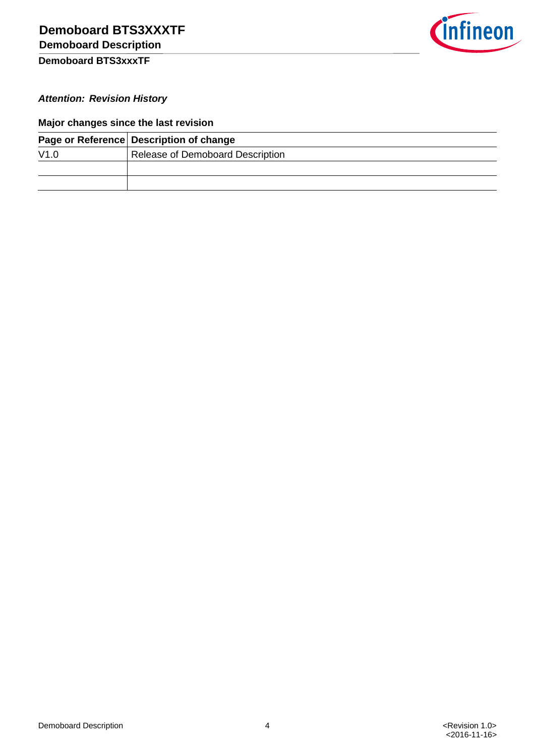

# **Demoboard BTS3xxxTF**

# *Attention: Revision History*

# **Major changes since the last revision**

|      | Page or Reference Description of change |  |
|------|-----------------------------------------|--|
| V1.0 | Release of Demoboard Description        |  |
|      |                                         |  |
|      |                                         |  |